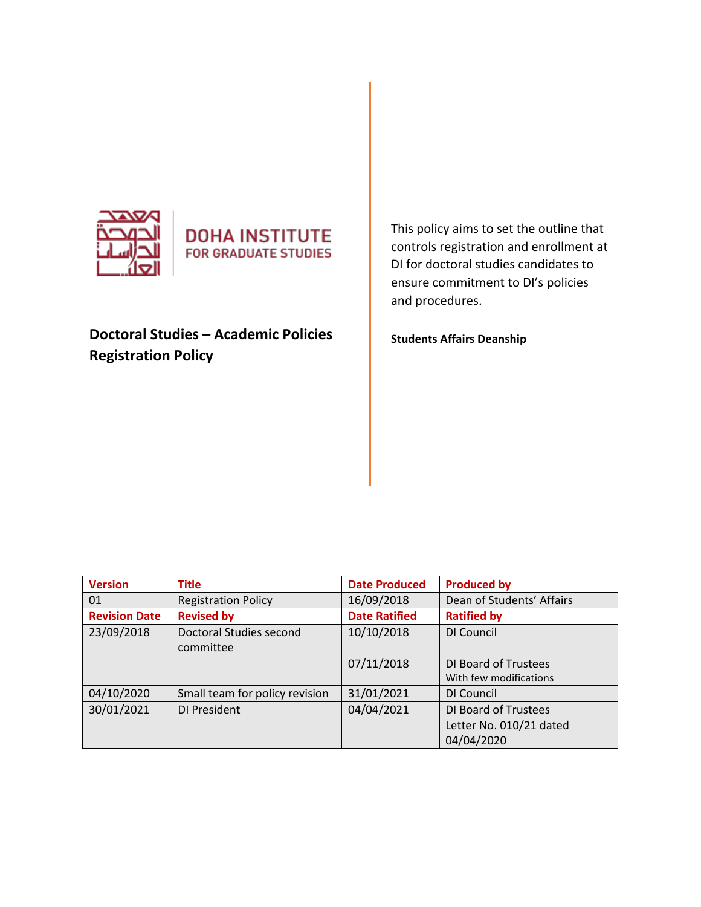



# **Doctoral Studies – Academic Policies Registration Policy**

This policy aims to set the outline that controls registration and enrollment at DI for doctoral studies candidates to ensure commitment to DI's policies and procedures.

**Students Affairs Deanship** 

| <b>Version</b>       | <b>Title</b>                   | <b>Date Produced</b> | <b>Produced by</b>        |
|----------------------|--------------------------------|----------------------|---------------------------|
| 01                   | <b>Registration Policy</b>     | 16/09/2018           | Dean of Students' Affairs |
| <b>Revision Date</b> | <b>Revised by</b>              | <b>Date Ratified</b> | <b>Ratified by</b>        |
| 23/09/2018           | Doctoral Studies second        | 10/10/2018           | DI Council                |
|                      | committee                      |                      |                           |
|                      |                                | 07/11/2018           | DI Board of Trustees      |
|                      |                                |                      | With few modifications    |
| 04/10/2020           | Small team for policy revision | 31/01/2021           | DI Council                |
| 30/01/2021           | DI President                   | 04/04/2021           | DI Board of Trustees      |
|                      |                                |                      | Letter No. 010/21 dated   |
|                      |                                |                      | 04/04/2020                |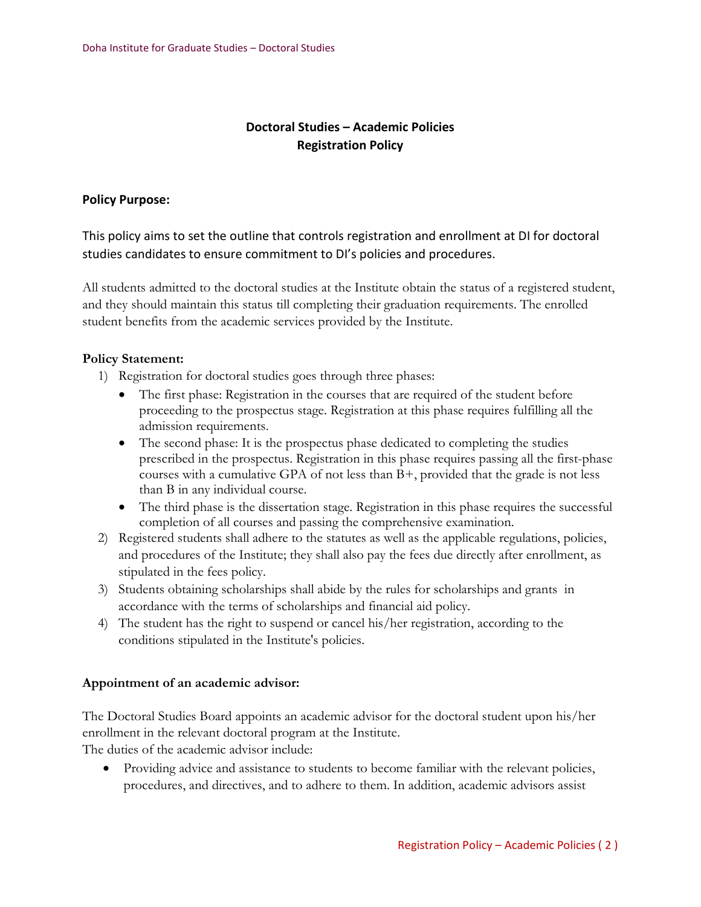# **Doctoral Studies – Academic Policies Registration Policy**

## **Policy Purpose:**

This policy aims to set the outline that controls registration and enrollment at DI for doctoral studies candidates to ensure commitment to DI's policies and procedures.

All students admitted to the doctoral studies at the Institute obtain the status of a registered student, and they should maintain this status till completing their graduation requirements. The enrolled student benefits from the academic services provided by the Institute.

### **Policy Statement:**

1) Registration for doctoral studies goes through three phases:

- The first phase: Registration in the courses that are required of the student before proceeding to the prospectus stage. Registration at this phase requires fulfilling all the admission requirements.
- The second phase: It is the prospectus phase dedicated to completing the studies prescribed in the prospectus. Registration in this phase requires passing all the first-phase courses with a cumulative GPA of not less than  $B<sub>+</sub>$ , provided that the grade is not less than B in any individual course.
- The third phase is the dissertation stage. Registration in this phase requires the successful completion of all courses and passing the comprehensive examination.
- 2) Registered students shall adhere to the statutes as well as the applicable regulations, policies, and procedures of the Institute; they shall also pay the fees due directly after enrollment, as stipulated in the fees policy.
- 3) Students obtaining scholarships shall abide by the rules for scholarships and grants in accordance with the terms of scholarships and financial aid policy.
- 4) The student has the right to suspend or cancel his/her registration, according to the conditions stipulated in the Institute's policies.

#### **Appointment of an academic advisor:**

The Doctoral Studies Board appoints an academic advisor for the doctoral student upon his/her enrollment in the relevant doctoral program at the Institute. The duties of the academic advisor include:

• Providing advice and assistance to students to become familiar with the relevant policies, procedures, and directives, and to adhere to them. In addition, academic advisors assist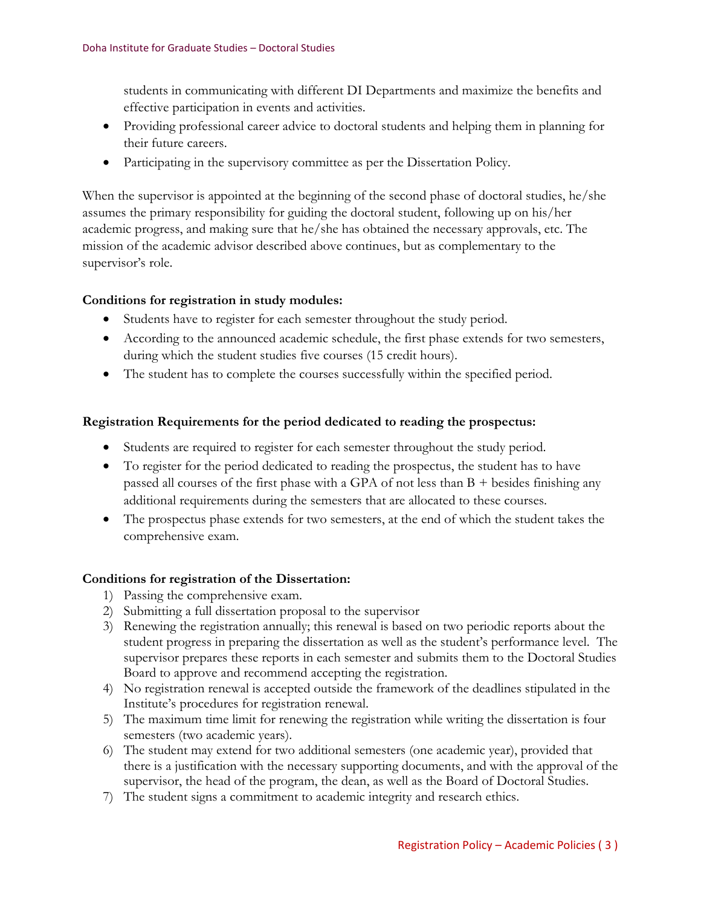students in communicating with different DI Departments and maximize the benefits and effective participation in events and activities.

- Providing professional career advice to doctoral students and helping them in planning for their future careers.
- Participating in the supervisory committee as per the Dissertation Policy.

When the supervisor is appointed at the beginning of the second phase of doctoral studies, he/she assumes the primary responsibility for guiding the doctoral student, following up on his/her academic progress, and making sure that he/she has obtained the necessary approvals, etc. The mission of the academic advisor described above continues, but as complementary to the supervisor's role.

# **Conditions for registration in study modules:**

- Students have to register for each semester throughout the study period.
- According to the announced academic schedule, the first phase extends for two semesters, during which the student studies five courses (15 credit hours).
- The student has to complete the courses successfully within the specified period.

# **Registration Requirements for the period dedicated to reading the prospectus:**

- Students are required to register for each semester throughout the study period.
- To register for the period dedicated to reading the prospectus, the student has to have passed all courses of the first phase with a GPA of not less than  $B +$  besides finishing any additional requirements during the semesters that are allocated to these courses.
- The prospectus phase extends for two semesters, at the end of which the student takes the comprehensive exam.

# **Conditions for registration of the Dissertation:**

- 1) Passing the comprehensive exam.
- 2) Submitting a full dissertation proposal to the supervisor
- 3) Renewing the registration annually; this renewal is based on two periodic reports about the student progress in preparing the dissertation as well as the student's performance level. The supervisor prepares these reports in each semester and submits them to the Doctoral Studies Board to approve and recommend accepting the registration.
- 4) No registration renewal is accepted outside the framework of the deadlines stipulated in the Institute's procedures for registration renewal.
- 5) The maximum time limit for renewing the registration while writing the dissertation is four semesters (two academic years).
- 6) The student may extend for two additional semesters (one academic year), provided that there is a justification with the necessary supporting documents, and with the approval of the supervisor, the head of the program, the dean, as well as the Board of Doctoral Studies.
- 7) The student signs a commitment to academic integrity and research ethics.